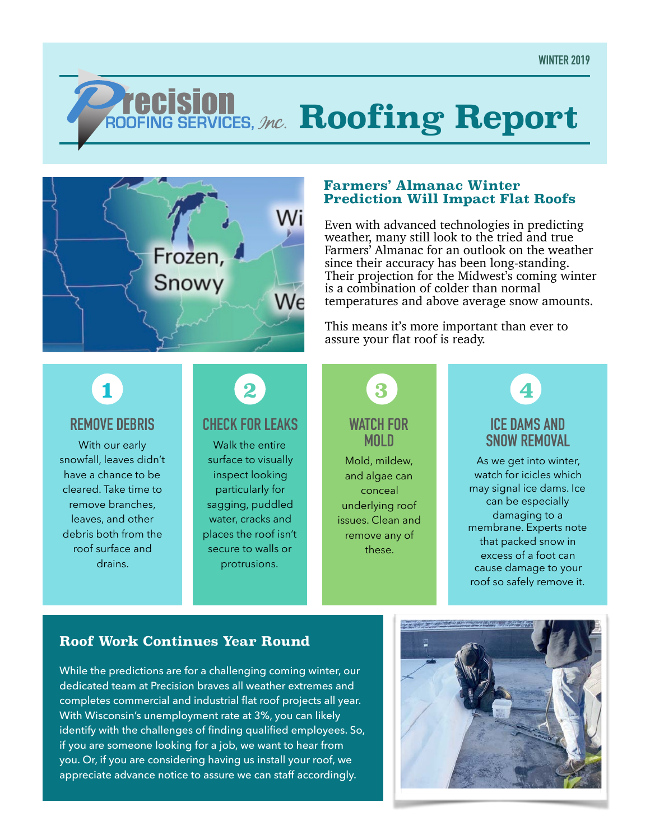# *ROOFING SERVICES, Mc.* **Roofing Report**



#### **Farmers' Almanac Winter Prediction Will Impact Flat Roofs**

Even with advanced technologies in predicting weather, many still look to the tried and true Farmers' Almanac for an outlook on the weather since their accuracy has been long-standing. Their projection for the Midwest's coming winter is a combination of colder than normal temperatures and above average snow amounts.

This means it's more important than ever to assure your flat roof is ready.

### **1**

#### **REMOVE DEBRIS**

With our early snowfall, leaves didn't have a chance to be cleared. Take time to remove branches, leaves, and other debris both from the roof surface and drains.

## **2**

#### **CHECK FOR LEAKS**

Walk the entire surface to visually inspect looking particularly for sagging, puddled water, cracks and places the roof isn't secure to walls or protrusions.

#### **WATCH FOR MOLD 3**

Mold, mildew, and algae can conceal underlying roof issues. Clean and remove any of these.

#### **ICE DAMS AND SNOW REMOVAL 4**

As we get into winter, watch for icicles which may signal ice dams. Ice can be especially damaging to a membrane. Experts note that packed snow in excess of a foot can cause damage to your roof so safely remove it.

#### **Roof Work Continues Year Round**

While the predictions are for a challenging coming winter, our dedicated team at Precision braves all weather extremes and completes commercial and industrial flat roof projects all year. With Wisconsin's unemployment rate at 3%, you can likely identify with the challenges of finding qualified employees. So, if you are someone looking for a job, we want to hear from you. Or, if you are considering having us install your roof, we appreciate advance notice to assure we can staff accordingly.